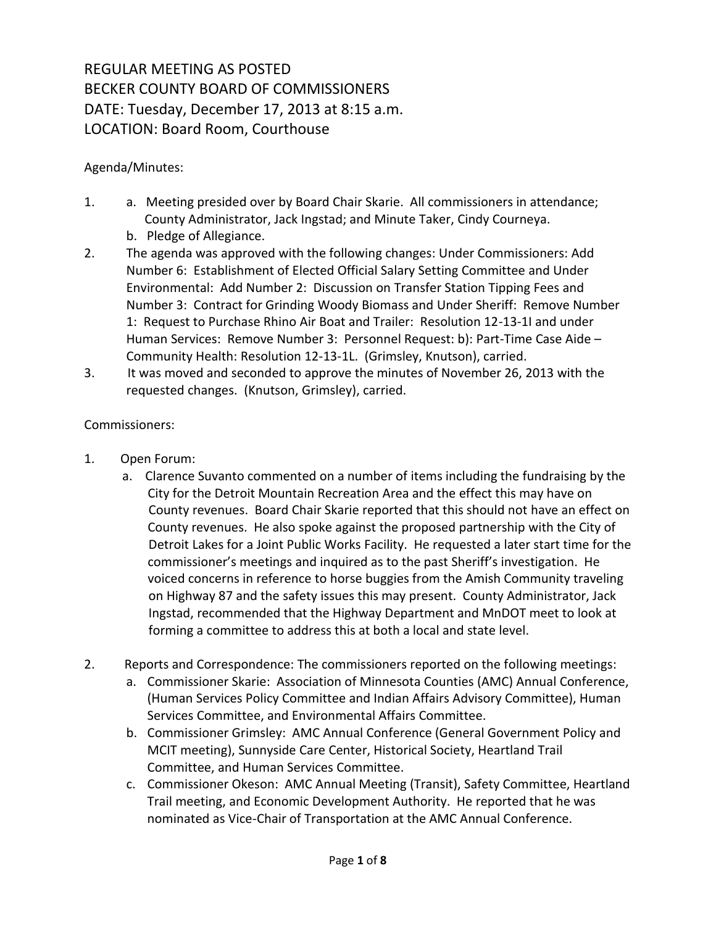## REGULAR MEETING AS POSTED BECKER COUNTY BOARD OF COMMISSIONERS DATE: Tuesday, December 17, 2013 at 8:15 a.m. LOCATION: Board Room, Courthouse

## Agenda/Minutes:

- 1. a. Meeting presided over by Board Chair Skarie. All commissioners in attendance; County Administrator, Jack Ingstad; and Minute Taker, Cindy Courneya.
	- b. Pledge of Allegiance.
- 2. The agenda was approved with the following changes: Under Commissioners: Add Number 6: Establishment of Elected Official Salary Setting Committee and Under Environmental: Add Number 2: Discussion on Transfer Station Tipping Fees and Number 3: Contract for Grinding Woody Biomass and Under Sheriff: Remove Number 1: Request to Purchase Rhino Air Boat and Trailer: Resolution 12-13-1I and under Human Services: Remove Number 3: Personnel Request: b): Part-Time Case Aide – Community Health: Resolution 12-13-1L. (Grimsley, Knutson), carried.
- 3. It was moved and seconded to approve the minutes of November 26, 2013 with the requested changes. (Knutson, Grimsley), carried.

## Commissioners:

- 1. Open Forum:
	- a. Clarence Suvanto commented on a number of items including the fundraising by the City for the Detroit Mountain Recreation Area and the effect this may have on County revenues. Board Chair Skarie reported that this should not have an effect on County revenues. He also spoke against the proposed partnership with the City of Detroit Lakes for a Joint Public Works Facility. He requested a later start time for the commissioner's meetings and inquired as to the past Sheriff's investigation. He voiced concerns in reference to horse buggies from the Amish Community traveling on Highway 87 and the safety issues this may present. County Administrator, Jack Ingstad, recommended that the Highway Department and MnDOT meet to look at forming a committee to address this at both a local and state level.
- 2. Reports and Correspondence: The commissioners reported on the following meetings:
	- a. Commissioner Skarie: Association of Minnesota Counties (AMC) Annual Conference, (Human Services Policy Committee and Indian Affairs Advisory Committee), Human Services Committee, and Environmental Affairs Committee.
	- b. Commissioner Grimsley: AMC Annual Conference (General Government Policy and MCIT meeting), Sunnyside Care Center, Historical Society, Heartland Trail Committee, and Human Services Committee.
	- c. Commissioner Okeson: AMC Annual Meeting (Transit), Safety Committee, Heartland Trail meeting, and Economic Development Authority. He reported that he was nominated as Vice-Chair of Transportation at the AMC Annual Conference.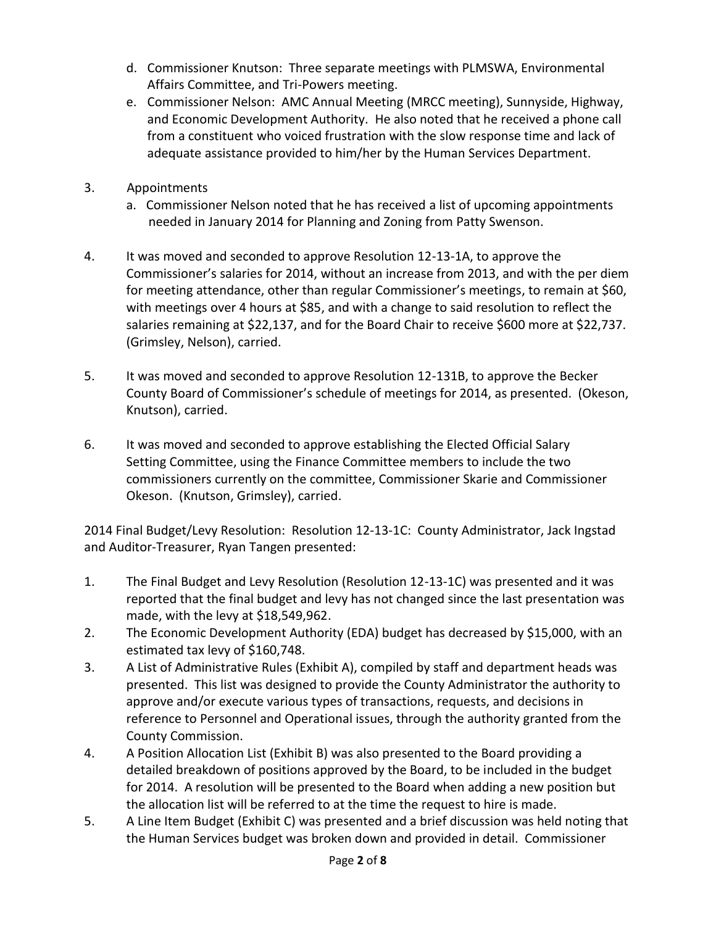- d. Commissioner Knutson: Three separate meetings with PLMSWA, Environmental Affairs Committee, and Tri-Powers meeting.
- e. Commissioner Nelson: AMC Annual Meeting (MRCC meeting), Sunnyside, Highway, and Economic Development Authority. He also noted that he received a phone call from a constituent who voiced frustration with the slow response time and lack of adequate assistance provided to him/her by the Human Services Department.
- 3. Appointments
	- a. Commissioner Nelson noted that he has received a list of upcoming appointments needed in January 2014 for Planning and Zoning from Patty Swenson.
- 4. It was moved and seconded to approve Resolution 12-13-1A, to approve the Commissioner's salaries for 2014, without an increase from 2013, and with the per diem for meeting attendance, other than regular Commissioner's meetings, to remain at \$60, with meetings over 4 hours at \$85, and with a change to said resolution to reflect the salaries remaining at \$22,137, and for the Board Chair to receive \$600 more at \$22,737. (Grimsley, Nelson), carried.
- 5. It was moved and seconded to approve Resolution 12-131B, to approve the Becker County Board of Commissioner's schedule of meetings for 2014, as presented. (Okeson, Knutson), carried.
- 6. It was moved and seconded to approve establishing the Elected Official Salary Setting Committee, using the Finance Committee members to include the two commissioners currently on the committee, Commissioner Skarie and Commissioner Okeson. (Knutson, Grimsley), carried.

2014 Final Budget/Levy Resolution: Resolution 12-13-1C: County Administrator, Jack Ingstad and Auditor-Treasurer, Ryan Tangen presented:

- 1. The Final Budget and Levy Resolution (Resolution 12-13-1C) was presented and it was reported that the final budget and levy has not changed since the last presentation was made, with the levy at \$18,549,962.
- 2. The Economic Development Authority (EDA) budget has decreased by \$15,000, with an estimated tax levy of \$160,748.
- 3. A List of Administrative Rules (Exhibit A), compiled by staff and department heads was presented. This list was designed to provide the County Administrator the authority to approve and/or execute various types of transactions, requests, and decisions in reference to Personnel and Operational issues, through the authority granted from the County Commission.
- 4. A Position Allocation List (Exhibit B) was also presented to the Board providing a detailed breakdown of positions approved by the Board, to be included in the budget for 2014. A resolution will be presented to the Board when adding a new position but the allocation list will be referred to at the time the request to hire is made.
- 5. A Line Item Budget (Exhibit C) was presented and a brief discussion was held noting that the Human Services budget was broken down and provided in detail. Commissioner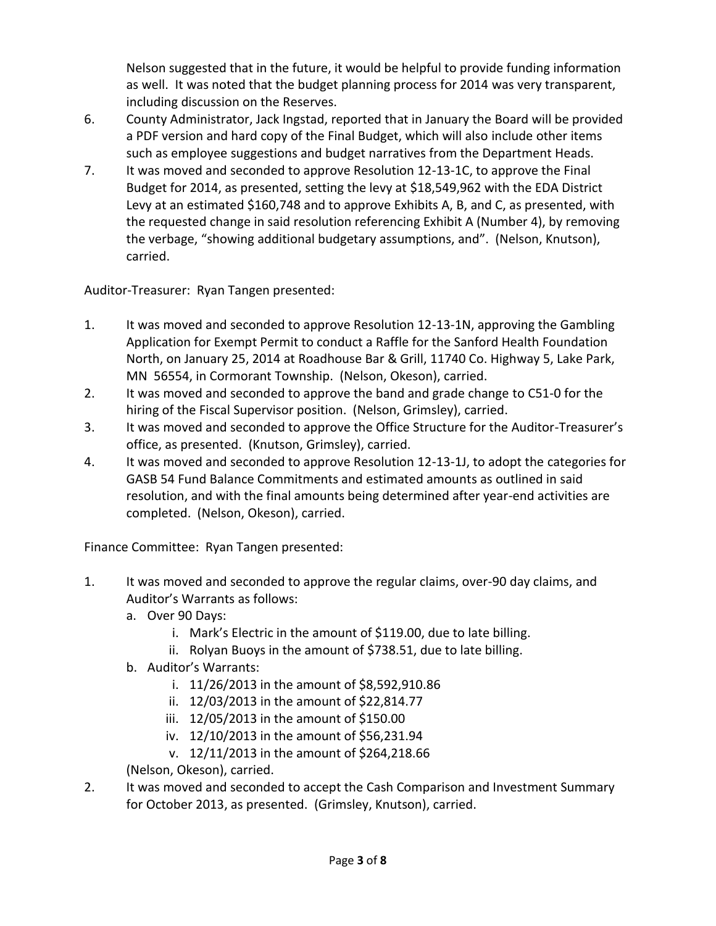Nelson suggested that in the future, it would be helpful to provide funding information as well. It was noted that the budget planning process for 2014 was very transparent, including discussion on the Reserves.

- 6. County Administrator, Jack Ingstad, reported that in January the Board will be provided a PDF version and hard copy of the Final Budget, which will also include other items such as employee suggestions and budget narratives from the Department Heads.
- 7. It was moved and seconded to approve Resolution 12-13-1C, to approve the Final Budget for 2014, as presented, setting the levy at \$18,549,962 with the EDA District Levy at an estimated \$160,748 and to approve Exhibits A, B, and C, as presented, with the requested change in said resolution referencing Exhibit A (Number 4), by removing the verbage, "showing additional budgetary assumptions, and". (Nelson, Knutson), carried.

Auditor-Treasurer: Ryan Tangen presented:

- 1. It was moved and seconded to approve Resolution 12-13-1N, approving the Gambling Application for Exempt Permit to conduct a Raffle for the Sanford Health Foundation North, on January 25, 2014 at Roadhouse Bar & Grill, 11740 Co. Highway 5, Lake Park, MN 56554, in Cormorant Township. (Nelson, Okeson), carried.
- 2. It was moved and seconded to approve the band and grade change to C51-0 for the hiring of the Fiscal Supervisor position. (Nelson, Grimsley), carried.
- 3. It was moved and seconded to approve the Office Structure for the Auditor-Treasurer's office, as presented. (Knutson, Grimsley), carried.
- 4. It was moved and seconded to approve Resolution 12-13-1J, to adopt the categories for GASB 54 Fund Balance Commitments and estimated amounts as outlined in said resolution, and with the final amounts being determined after year-end activities are completed. (Nelson, Okeson), carried.

Finance Committee: Ryan Tangen presented:

- 1. It was moved and seconded to approve the regular claims, over-90 day claims, and Auditor's Warrants as follows:
	- a. Over 90 Days:
		- i. Mark's Electric in the amount of \$119.00, due to late billing.
		- ii. Rolyan Buoys in the amount of \$738.51, due to late billing.
	- b. Auditor's Warrants:
		- i. 11/26/2013 in the amount of \$8,592,910.86
		- ii. 12/03/2013 in the amount of \$22,814.77
		- iii. 12/05/2013 in the amount of \$150.00
		- iv. 12/10/2013 in the amount of \$56,231.94
		- v. 12/11/2013 in the amount of \$264,218.66

(Nelson, Okeson), carried.

2. It was moved and seconded to accept the Cash Comparison and Investment Summary for October 2013, as presented. (Grimsley, Knutson), carried.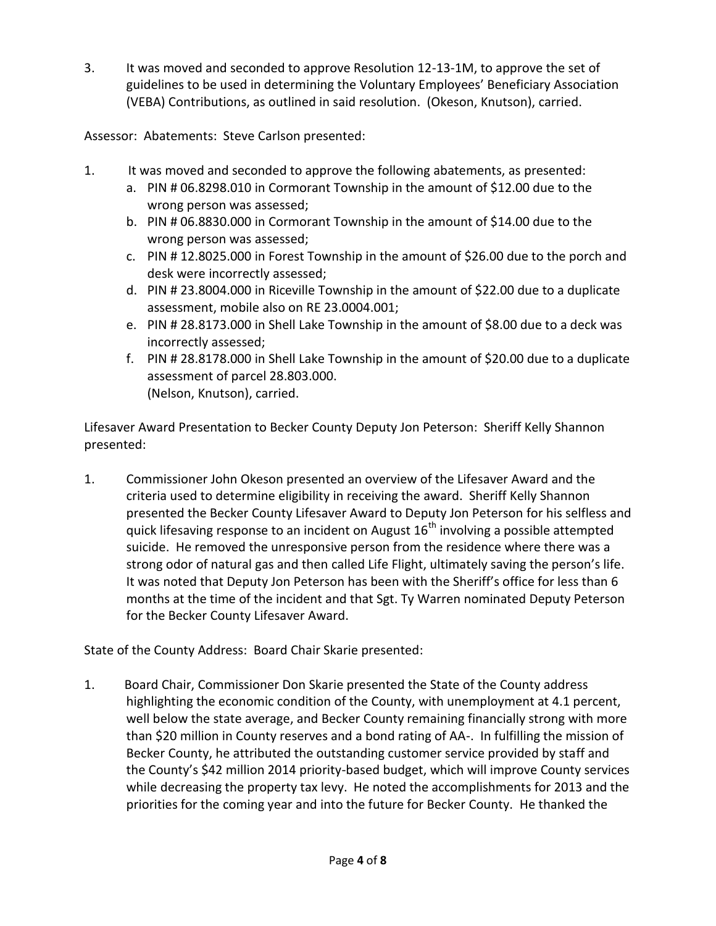3. It was moved and seconded to approve Resolution 12-13-1M, to approve the set of guidelines to be used in determining the Voluntary Employees' Beneficiary Association (VEBA) Contributions, as outlined in said resolution. (Okeson, Knutson), carried.

Assessor: Abatements: Steve Carlson presented:

- 1. It was moved and seconded to approve the following abatements, as presented:
	- a. PIN # 06.8298.010 in Cormorant Township in the amount of \$12.00 due to the wrong person was assessed;
	- b. PIN # 06.8830.000 in Cormorant Township in the amount of \$14.00 due to the wrong person was assessed;
	- c. PIN # 12.8025.000 in Forest Township in the amount of \$26.00 due to the porch and desk were incorrectly assessed;
	- d. PIN # 23.8004.000 in Riceville Township in the amount of \$22.00 due to a duplicate assessment, mobile also on RE 23.0004.001;
	- e. PIN # 28.8173.000 in Shell Lake Township in the amount of \$8.00 due to a deck was incorrectly assessed;
	- f. PIN # 28.8178.000 in Shell Lake Township in the amount of \$20.00 due to a duplicate assessment of parcel 28.803.000. (Nelson, Knutson), carried.

Lifesaver Award Presentation to Becker County Deputy Jon Peterson: Sheriff Kelly Shannon presented:

1. Commissioner John Okeson presented an overview of the Lifesaver Award and the criteria used to determine eligibility in receiving the award. Sheriff Kelly Shannon presented the Becker County Lifesaver Award to Deputy Jon Peterson for his selfless and quick lifesaving response to an incident on August  $16<sup>th</sup>$  involving a possible attempted suicide. He removed the unresponsive person from the residence where there was a strong odor of natural gas and then called Life Flight, ultimately saving the person's life. It was noted that Deputy Jon Peterson has been with the Sheriff's office for less than 6 months at the time of the incident and that Sgt. Ty Warren nominated Deputy Peterson for the Becker County Lifesaver Award.

State of the County Address: Board Chair Skarie presented:

1. Board Chair, Commissioner Don Skarie presented the State of the County address highlighting the economic condition of the County, with unemployment at 4.1 percent, well below the state average, and Becker County remaining financially strong with more than \$20 million in County reserves and a bond rating of AA-. In fulfilling the mission of Becker County, he attributed the outstanding customer service provided by staff and the County's \$42 million 2014 priority-based budget, which will improve County services while decreasing the property tax levy. He noted the accomplishments for 2013 and the priorities for the coming year and into the future for Becker County. He thanked the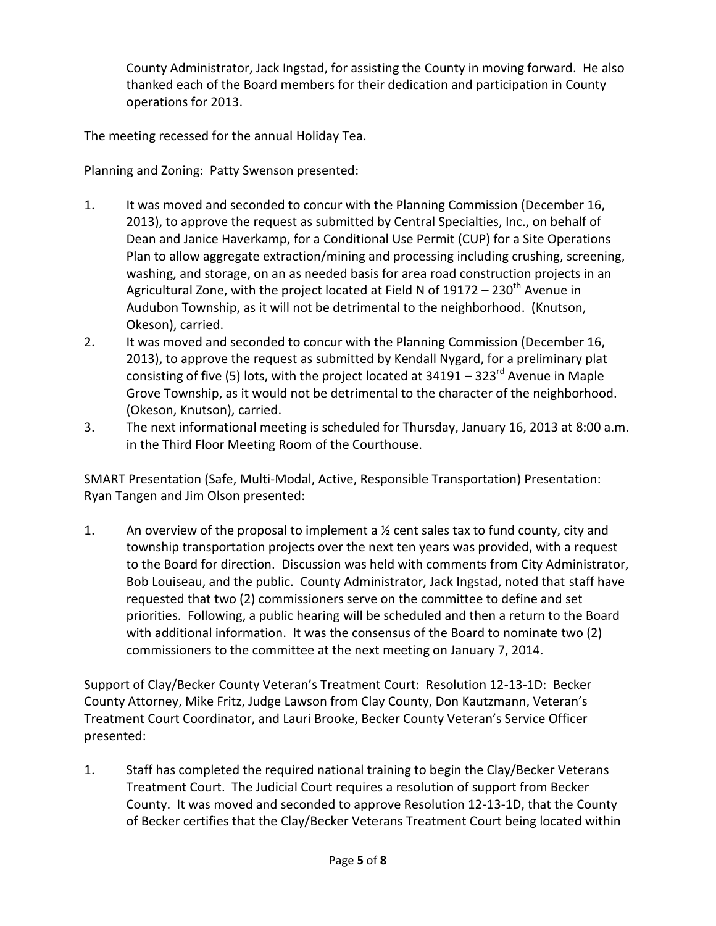County Administrator, Jack Ingstad, for assisting the County in moving forward. He also thanked each of the Board members for their dedication and participation in County operations for 2013.

The meeting recessed for the annual Holiday Tea.

Planning and Zoning: Patty Swenson presented:

- 1. It was moved and seconded to concur with the Planning Commission (December 16, 2013), to approve the request as submitted by Central Specialties, Inc., on behalf of Dean and Janice Haverkamp, for a Conditional Use Permit (CUP) for a Site Operations Plan to allow aggregate extraction/mining and processing including crushing, screening, washing, and storage, on an as needed basis for area road construction projects in an Agricultural Zone, with the project located at Field N of 19172 – 230<sup>th</sup> Avenue in Audubon Township, as it will not be detrimental to the neighborhood. (Knutson, Okeson), carried.
- 2. It was moved and seconded to concur with the Planning Commission (December 16, 2013), to approve the request as submitted by Kendall Nygard, for a preliminary plat consisting of five (5) lots, with the project located at  $34191 - 323<sup>rd</sup>$  Avenue in Maple Grove Township, as it would not be detrimental to the character of the neighborhood. (Okeson, Knutson), carried.
- 3. The next informational meeting is scheduled for Thursday, January 16, 2013 at 8:00 a.m. in the Third Floor Meeting Room of the Courthouse.

SMART Presentation (Safe, Multi-Modal, Active, Responsible Transportation) Presentation: Ryan Tangen and Jim Olson presented:

1. An overview of the proposal to implement a  $\frac{1}{2}$  cent sales tax to fund county, city and township transportation projects over the next ten years was provided, with a request to the Board for direction. Discussion was held with comments from City Administrator, Bob Louiseau, and the public. County Administrator, Jack Ingstad, noted that staff have requested that two (2) commissioners serve on the committee to define and set priorities. Following, a public hearing will be scheduled and then a return to the Board with additional information. It was the consensus of the Board to nominate two (2) commissioners to the committee at the next meeting on January 7, 2014.

Support of Clay/Becker County Veteran's Treatment Court: Resolution 12-13-1D: Becker County Attorney, Mike Fritz, Judge Lawson from Clay County, Don Kautzmann, Veteran's Treatment Court Coordinator, and Lauri Brooke, Becker County Veteran's Service Officer presented:

1. Staff has completed the required national training to begin the Clay/Becker Veterans Treatment Court. The Judicial Court requires a resolution of support from Becker County. It was moved and seconded to approve Resolution 12-13-1D, that the County of Becker certifies that the Clay/Becker Veterans Treatment Court being located within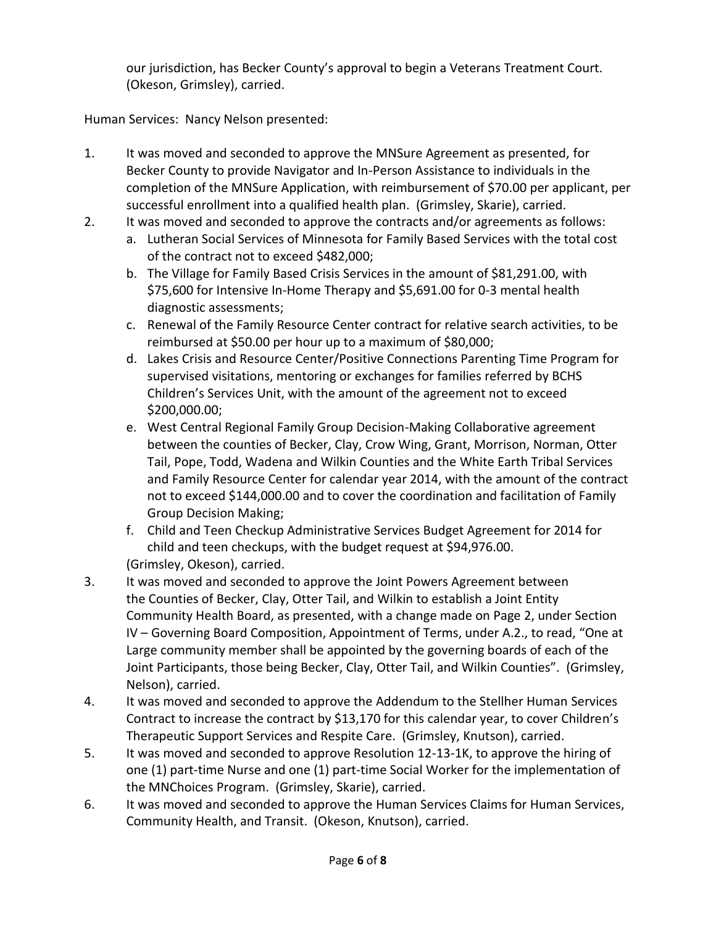our jurisdiction, has Becker County's approval to begin a Veterans Treatment Court. (Okeson, Grimsley), carried.

Human Services: Nancy Nelson presented:

- 1. It was moved and seconded to approve the MNSure Agreement as presented, for Becker County to provide Navigator and In-Person Assistance to individuals in the completion of the MNSure Application, with reimbursement of \$70.00 per applicant, per successful enrollment into a qualified health plan. (Grimsley, Skarie), carried.
- 2. It was moved and seconded to approve the contracts and/or agreements as follows:
	- a. Lutheran Social Services of Minnesota for Family Based Services with the total cost of the contract not to exceed \$482,000;
	- b. The Village for Family Based Crisis Services in the amount of \$81,291.00, with \$75,600 for Intensive In-Home Therapy and \$5,691.00 for 0-3 mental health diagnostic assessments;
	- c. Renewal of the Family Resource Center contract for relative search activities, to be reimbursed at \$50.00 per hour up to a maximum of \$80,000;
	- d. Lakes Crisis and Resource Center/Positive Connections Parenting Time Program for supervised visitations, mentoring or exchanges for families referred by BCHS Children's Services Unit, with the amount of the agreement not to exceed \$200,000.00;
	- e. West Central Regional Family Group Decision-Making Collaborative agreement between the counties of Becker, Clay, Crow Wing, Grant, Morrison, Norman, Otter Tail, Pope, Todd, Wadena and Wilkin Counties and the White Earth Tribal Services and Family Resource Center for calendar year 2014, with the amount of the contract not to exceed \$144,000.00 and to cover the coordination and facilitation of Family Group Decision Making;
	- f. Child and Teen Checkup Administrative Services Budget Agreement for 2014 for child and teen checkups, with the budget request at \$94,976.00. (Grimsley, Okeson), carried.
- 3. It was moved and seconded to approve the Joint Powers Agreement between the Counties of Becker, Clay, Otter Tail, and Wilkin to establish a Joint Entity Community Health Board, as presented, with a change made on Page 2, under Section IV – Governing Board Composition, Appointment of Terms, under A.2., to read, "One at Large community member shall be appointed by the governing boards of each of the Joint Participants, those being Becker, Clay, Otter Tail, and Wilkin Counties". (Grimsley, Nelson), carried.
- 4. It was moved and seconded to approve the Addendum to the Stellher Human Services Contract to increase the contract by \$13,170 for this calendar year, to cover Children's Therapeutic Support Services and Respite Care. (Grimsley, Knutson), carried.
- 5. It was moved and seconded to approve Resolution 12-13-1K, to approve the hiring of one (1) part-time Nurse and one (1) part-time Social Worker for the implementation of the MNChoices Program. (Grimsley, Skarie), carried.
- 6. It was moved and seconded to approve the Human Services Claims for Human Services, Community Health, and Transit. (Okeson, Knutson), carried.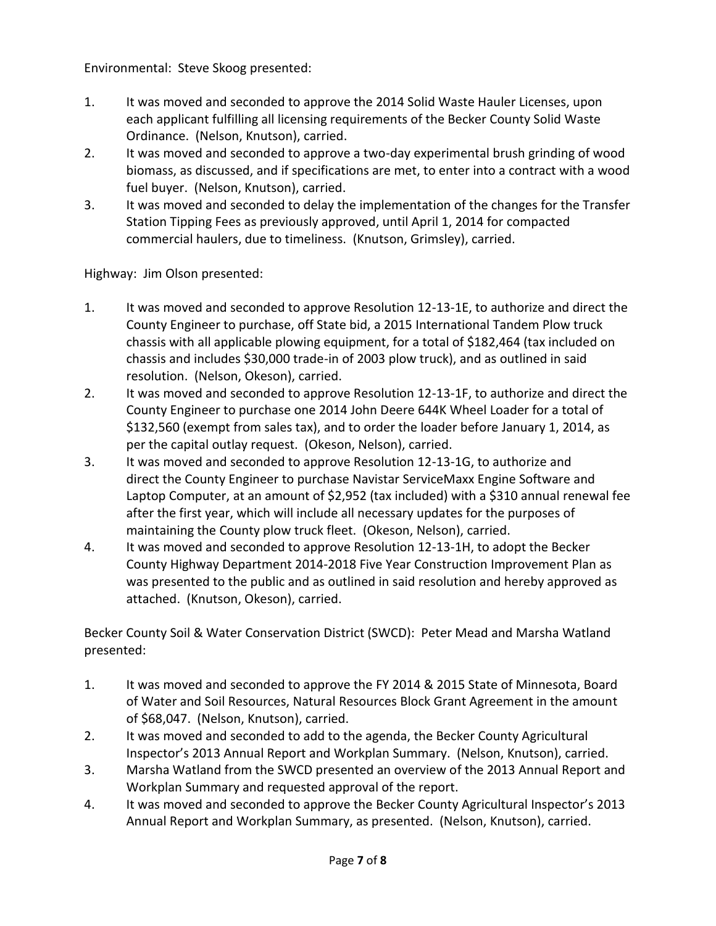Environmental: Steve Skoog presented:

- 1. It was moved and seconded to approve the 2014 Solid Waste Hauler Licenses, upon each applicant fulfilling all licensing requirements of the Becker County Solid Waste Ordinance. (Nelson, Knutson), carried.
- 2. It was moved and seconded to approve a two-day experimental brush grinding of wood biomass, as discussed, and if specifications are met, to enter into a contract with a wood fuel buyer. (Nelson, Knutson), carried.
- 3. It was moved and seconded to delay the implementation of the changes for the Transfer Station Tipping Fees as previously approved, until April 1, 2014 for compacted commercial haulers, due to timeliness. (Knutson, Grimsley), carried.

Highway: Jim Olson presented:

- 1. It was moved and seconded to approve Resolution 12-13-1E, to authorize and direct the County Engineer to purchase, off State bid, a 2015 International Tandem Plow truck chassis with all applicable plowing equipment, for a total of \$182,464 (tax included on chassis and includes \$30,000 trade-in of 2003 plow truck), and as outlined in said resolution. (Nelson, Okeson), carried.
- 2. It was moved and seconded to approve Resolution 12-13-1F, to authorize and direct the County Engineer to purchase one 2014 John Deere 644K Wheel Loader for a total of \$132,560 (exempt from sales tax), and to order the loader before January 1, 2014, as per the capital outlay request. (Okeson, Nelson), carried.
- 3. It was moved and seconded to approve Resolution 12-13-1G, to authorize and direct the County Engineer to purchase Navistar ServiceMaxx Engine Software and Laptop Computer, at an amount of \$2,952 (tax included) with a \$310 annual renewal fee after the first year, which will include all necessary updates for the purposes of maintaining the County plow truck fleet. (Okeson, Nelson), carried.
- 4. It was moved and seconded to approve Resolution 12-13-1H, to adopt the Becker County Highway Department 2014-2018 Five Year Construction Improvement Plan as was presented to the public and as outlined in said resolution and hereby approved as attached. (Knutson, Okeson), carried.

Becker County Soil & Water Conservation District (SWCD): Peter Mead and Marsha Watland presented:

- 1. It was moved and seconded to approve the FY 2014 & 2015 State of Minnesota, Board of Water and Soil Resources, Natural Resources Block Grant Agreement in the amount of \$68,047. (Nelson, Knutson), carried.
- 2. It was moved and seconded to add to the agenda, the Becker County Agricultural Inspector's 2013 Annual Report and Workplan Summary. (Nelson, Knutson), carried.
- 3. Marsha Watland from the SWCD presented an overview of the 2013 Annual Report and Workplan Summary and requested approval of the report.
- 4. It was moved and seconded to approve the Becker County Agricultural Inspector's 2013 Annual Report and Workplan Summary, as presented. (Nelson, Knutson), carried.